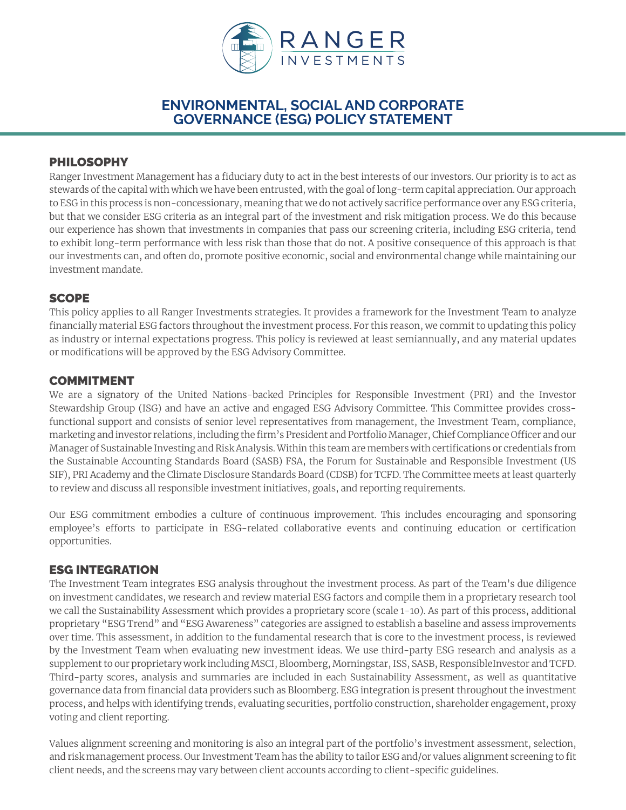

# **ENVIRONMENTAL, SOCIAL AND CORPORATE GOVERNANCE (ESG) POLICY STATEMENT**

## PHILOSOPHY

Ranger Investment Management has a fiduciary duty to act in the best interests of our investors. Our priority is to act as stewards of the capital with which we have been entrusted, with the goal of long-term capital appreciation. Our approach to ESG in this process is non-concessionary, meaning that we do not actively sacrifice performance over any ESG criteria, but that we consider ESG criteria as an integral part of the investment and risk mitigation process. We do this because our experience has shown that investments in companies that pass our screening criteria, including ESG criteria, tend to exhibit long-term performance with less risk than those that do not. A positive consequence of this approach is that our investments can, and often do, promote positive economic, social and environmental change while maintaining our investment mandate.

## **SCOPE**

This policy applies to all Ranger Investments strategies. It provides a framework for the Investment Team to analyze financially material ESG factors throughout the investment process. For this reason, we commit to updating this policy as industry or internal expectations progress. This policy is reviewed at least semiannually, and any material updates or modifications will be approved by the ESG Advisory Committee.

### COMMITMENT

We are a signatory of the United Nations-backed Principles for Responsible Investment (PRI) and the Investor Stewardship Group (ISG) and have an active and engaged ESG Advisory Committee. This Committee provides crossfunctional support and consists of senior level representatives from management, the Investment Team, compliance, marketing and investor relations, including the firm's President and Portfolio Manager, Chief Compliance Officer and our Manager of Sustainable Investing and Risk Analysis. Within this team are members with certifications or credentials from the Sustainable Accounting Standards Board (SASB) FSA, the Forum for Sustainable and Responsible Investment (US SIF), PRI Academy and the Climate Disclosure Standards Board (CDSB) for TCFD. The Committee meets at least quarterly to review and discuss all responsible investment initiatives, goals, and reporting requirements.

Our ESG commitment embodies a culture of continuous improvement. This includes encouraging and sponsoring employee's efforts to participate in ESG-related collaborative events and continuing education or certification opportunities.

## ESG INTEGRATION

The Investment Team integrates ESG analysis throughout the investment process. As part of the Team's due diligence on investment candidates, we research and review material ESG factors and compile them in a proprietary research tool we call the Sustainability Assessment which provides a proprietary score (scale 1-10). As part of this process, additional proprietary "ESG Trend" and "ESG Awareness" categories are assigned to establish a baseline and assess improvements over time. This assessment, in addition to the fundamental research that is core to the investment process, is reviewed by the Investment Team when evaluating new investment ideas. We use third-party ESG research and analysis as a supplement to our proprietary work including MSCI, Bloomberg, Morningstar, ISS, SASB, ResponsibleInvestor and TCFD. Third-party scores, analysis and summaries are included in each Sustainability Assessment, as well as quantitative governance data from financial data providers such as Bloomberg. ESG integration is present throughout the investment process, and helps with identifying trends, evaluating securities, portfolio construction, shareholder engagement, proxy voting and client reporting.

Values alignment screening and monitoring is also an integral part of the portfolio's investment assessment, selection, and risk management process. Our Investment Team has the ability to tailor ESG and/or values alignment screening to fit client needs, and the screens may vary between client accounts according to client-specific guidelines.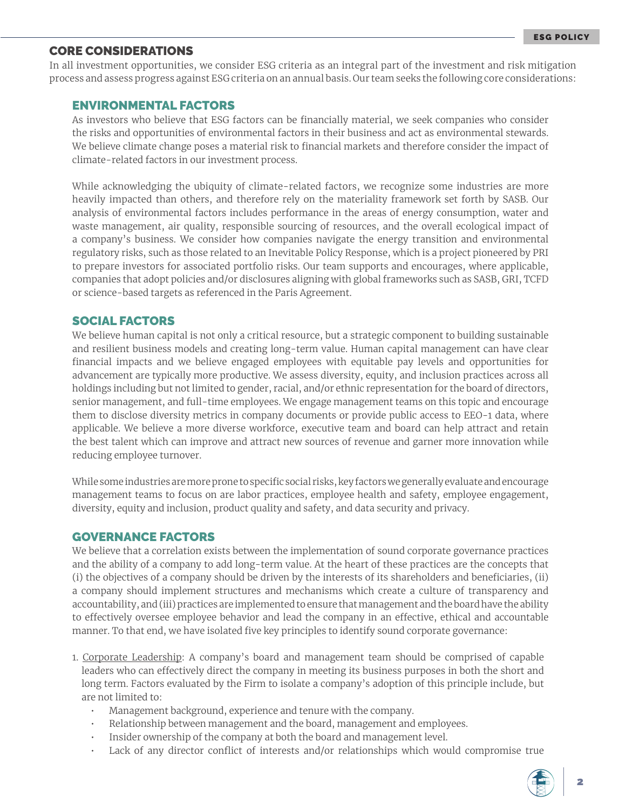### CORE CONSIDERATIONS

In all investment opportunities, we consider ESG criteria as an integral part of the investment and risk mitigation process and assess progress against ESG criteria on an annual basis. Our team seeks the following core considerations:

#### ENVIRONMENTAL FACTORS

As investors who believe that ESG factors can be financially material, we seek companies who consider the risks and opportunities of environmental factors in their business and act as environmental stewards. We believe climate change poses a material risk to financial markets and therefore consider the impact of climate-related factors in our investment process.

While acknowledging the ubiquity of climate-related factors, we recognize some industries are more heavily impacted than others, and therefore rely on the materiality framework set forth by SASB. Our analysis of environmental factors includes performance in the areas of energy consumption, water and waste management, air quality, responsible sourcing of resources, and the overall ecological impact of a company's business. We consider how companies navigate the energy transition and environmental regulatory risks, such as those related to an Inevitable Policy Response, which is a project pioneered by PRI to prepare investors for associated portfolio risks. Our team supports and encourages, where applicable, companies that adopt policies and/or disclosures aligning with global frameworks such as SASB, GRI, TCFD or science-based targets as referenced in the Paris Agreement.

#### SOCIAL FACTORS

We believe human capital is not only a critical resource, but a strategic component to building sustainable and resilient business models and creating long-term value. Human capital management can have clear financial impacts and we believe engaged employees with equitable pay levels and opportunities for advancement are typically more productive. We assess diversity, equity, and inclusion practices across all holdings including but not limited to gender, racial, and/or ethnic representation for the board of directors, senior management, and full-time employees. We engage management teams on this topic and encourage them to disclose diversity metrics in company documents or provide public access to EEO-1 data, where applicable. We believe a more diverse workforce, executive team and board can help attract and retain the best talent which can improve and attract new sources of revenue and garner more innovation while reducing employee turnover.

While some industries are more prone to specific social risks, key factors we generally evaluate and encourage management teams to focus on are labor practices, employee health and safety, employee engagement, diversity, equity and inclusion, product quality and safety, and data security and privacy.

#### GOVERNANCE FACTORS

We believe that a correlation exists between the implementation of sound corporate governance practices and the ability of a company to add long-term value. At the heart of these practices are the concepts that (i) the objectives of a company should be driven by the interests of its shareholders and beneficiaries, (ii) a company should implement structures and mechanisms which create a culture of transparency and accountability, and (iii) practices are implemented to ensure that management and the board have the ability to effectively oversee employee behavior and lead the company in an effective, ethical and accountable manner. To that end, we have isolated five key principles to identify sound corporate governance:

- 1. Corporate Leadership: A company's board and management team should be comprised of capable leaders who can effectively direct the company in meeting its business purposes in both the short and long term. Factors evaluated by the Firm to isolate a company's adoption of this principle include, but are not limited to:
	- Management background, experience and tenure with the company.
	- Relationship between management and the board, management and employees.
	- Insider ownership of the company at both the board and management level.
	- Lack of any director conflict of interests and/or relationships which would compromise true

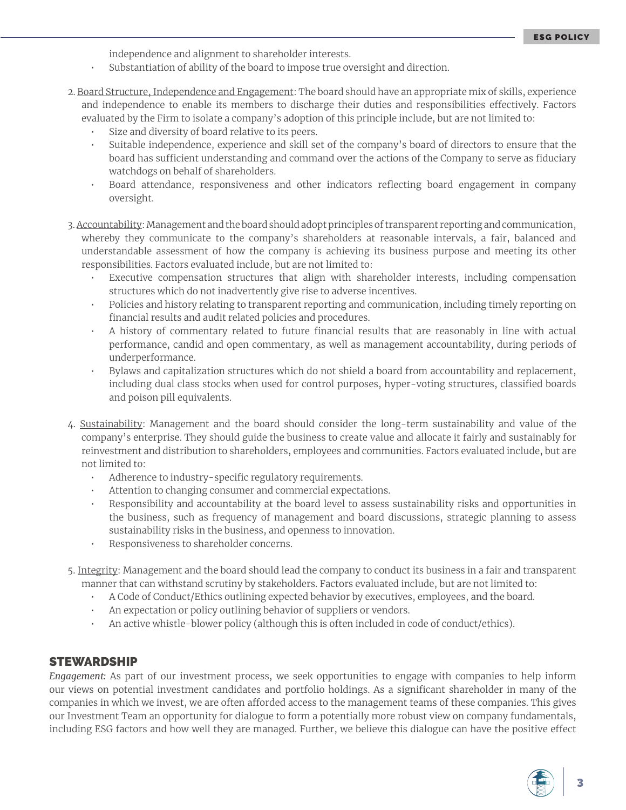independence and alignment to shareholder interests.

- Substantiation of ability of the board to impose true oversight and direction.
- 2. Board Structure, Independence and Engagement: The board should have an appropriate mix of skills, experience and independence to enable its members to discharge their duties and responsibilities effectively. Factors evaluated by the Firm to isolate a company's adoption of this principle include, but are not limited to:
	- Size and diversity of board relative to its peers.
	- Suitable independence, experience and skill set of the company's board of directors to ensure that the board has sufficient understanding and command over the actions of the Company to serve as fiduciary watchdogs on behalf of shareholders.
	- Board attendance, responsiveness and other indicators reflecting board engagement in company oversight.
- 3. Accountability: Management and the board should adopt principles of transparent reporting and communication, whereby they communicate to the company's shareholders at reasonable intervals, a fair, balanced and understandable assessment of how the company is achieving its business purpose and meeting its other responsibilities. Factors evaluated include, but are not limited to:
	- Executive compensation structures that align with shareholder interests, including compensation structures which do not inadvertently give rise to adverse incentives.
	- Policies and history relating to transparent reporting and communication, including timely reporting on financial results and audit related policies and procedures.
	- A history of commentary related to future financial results that are reasonably in line with actual performance, candid and open commentary, as well as management accountability, during periods of underperformance.
	- Bylaws and capitalization structures which do not shield a board from accountability and replacement, including dual class stocks when used for control purposes, hyper-voting structures, classified boards and poison pill equivalents.
- 4. Sustainability: Management and the board should consider the long-term sustainability and value of the company's enterprise. They should guide the business to create value and allocate it fairly and sustainably for reinvestment and distribution to shareholders, employees and communities. Factors evaluated include, but are not limited to:
	- Adherence to industry-specific regulatory requirements.
	- Attention to changing consumer and commercial expectations.
	- Responsibility and accountability at the board level to assess sustainability risks and opportunities in the business, such as frequency of management and board discussions, strategic planning to assess sustainability risks in the business, and openness to innovation.
	- Responsiveness to shareholder concerns.
- 5. Integrity: Management and the board should lead the company to conduct its business in a fair and transparent manner that can withstand scrutiny by stakeholders. Factors evaluated include, but are not limited to:
	- A Code of Conduct/Ethics outlining expected behavior by executives, employees, and the board.
	- An expectation or policy outlining behavior of suppliers or vendors.
	- An active whistle-blower policy (although this is often included in code of conduct/ethics).

#### STEWARDSHIP

*Engagement:* As part of our investment process, we seek opportunities to engage with companies to help inform our views on potential investment candidates and portfolio holdings. As a significant shareholder in many of the companies in which we invest, we are often afforded access to the management teams of these companies. This gives our Investment Team an opportunity for dialogue to form a potentially more robust view on company fundamentals, including ESG factors and how well they are managed. Further, we believe this dialogue can have the positive effect

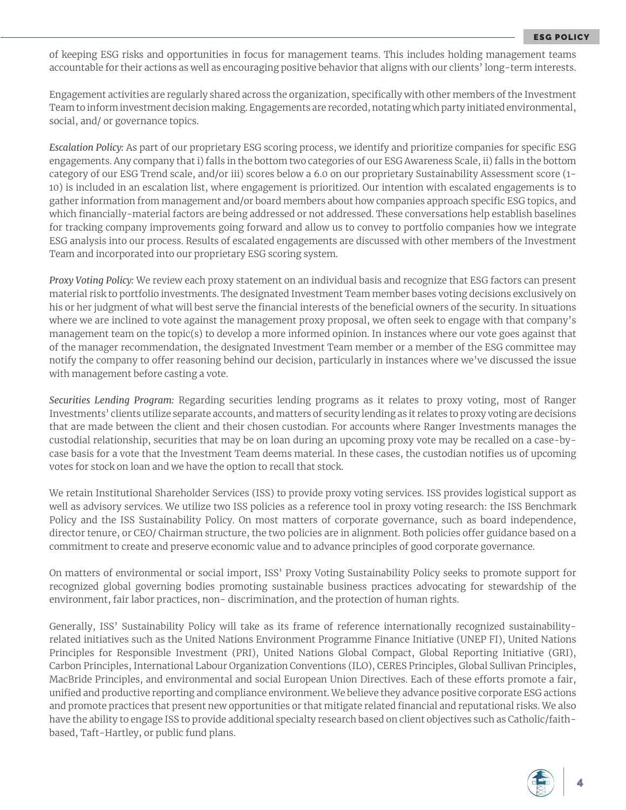of keeping ESG risks and opportunities in focus for management teams. This includes holding management teams accountable for their actions as well as encouraging positive behavior that aligns with our clients' long-term interests.

Engagement activities are regularly shared across the organization, specifically with other members of the Investment Team to inform investment decision making. Engagements are recorded, notating which party initiated environmental, social, and/ or governance topics.

*Escalation Policy:* As part of our proprietary ESG scoring process, we identify and prioritize companies for specific ESG engagements. Any company that i) falls in the bottom two categories of our ESG Awareness Scale, ii) falls in the bottom category of our ESG Trend scale, and/or iii) scores below a 6.0 on our proprietary Sustainability Assessment score (1- 10) is included in an escalation list, where engagement is prioritized. Our intention with escalated engagements is to gather information from management and/or board members about how companies approach specific ESG topics, and which financially-material factors are being addressed or not addressed. These conversations help establish baselines for tracking company improvements going forward and allow us to convey to portfolio companies how we integrate ESG analysis into our process. Results of escalated engagements are discussed with other members of the Investment Team and incorporated into our proprietary ESG scoring system.

*Proxy Voting Policy:* We review each proxy statement on an individual basis and recognize that ESG factors can present material risk to portfolio investments. The designated Investment Team member bases voting decisions exclusively on his or her judgment of what will best serve the financial interests of the beneficial owners of the security. In situations where we are inclined to vote against the management proxy proposal, we often seek to engage with that company's management team on the topic(s) to develop a more informed opinion. In instances where our vote goes against that of the manager recommendation, the designated Investment Team member or a member of the ESG committee may notify the company to offer reasoning behind our decision, particularly in instances where we've discussed the issue with management before casting a vote.

*Securities Lending Program:* Regarding securities lending programs as it relates to proxy voting, most of Ranger Investments' clients utilize separate accounts, and matters of security lending as it relates to proxy voting are decisions that are made between the client and their chosen custodian. For accounts where Ranger Investments manages the custodial relationship, securities that may be on loan during an upcoming proxy vote may be recalled on a case-bycase basis for a vote that the Investment Team deems material. In these cases, the custodian notifies us of upcoming votes for stock on loan and we have the option to recall that stock.

We retain Institutional Shareholder Services (ISS) to provide proxy voting services. ISS provides logistical support as well as advisory services. We utilize two ISS policies as a reference tool in proxy voting research: the ISS Benchmark Policy and the ISS Sustainability Policy. On most matters of corporate governance, such as board independence, director tenure, or CEO/ Chairman structure, the two policies are in alignment. Both policies offer guidance based on a commitment to create and preserve economic value and to advance principles of good corporate governance.

On matters of environmental or social import, ISS' Proxy Voting Sustainability Policy seeks to promote support for recognized global governing bodies promoting sustainable business practices advocating for stewardship of the environment, fair labor practices, non- discrimination, and the protection of human rights.

Generally, ISS' Sustainability Policy will take as its frame of reference internationally recognized sustainabilityrelated initiatives such as the United Nations Environment Programme Finance Initiative (UNEP FI), United Nations Principles for Responsible Investment (PRI), United Nations Global Compact, Global Reporting Initiative (GRI), Carbon Principles, International Labour Organization Conventions (ILO), CERES Principles, Global Sullivan Principles, MacBride Principles, and environmental and social European Union Directives. Each of these efforts promote a fair, unified and productive reporting and compliance environment. We believe they advance positive corporate ESG actions and promote practices that present new opportunities or that mitigate related financial and reputational risks. We also have the ability to engage ISS to provide additional specialty research based on client objectives such as Catholic/faithbased, Taft-Hartley, or public fund plans.